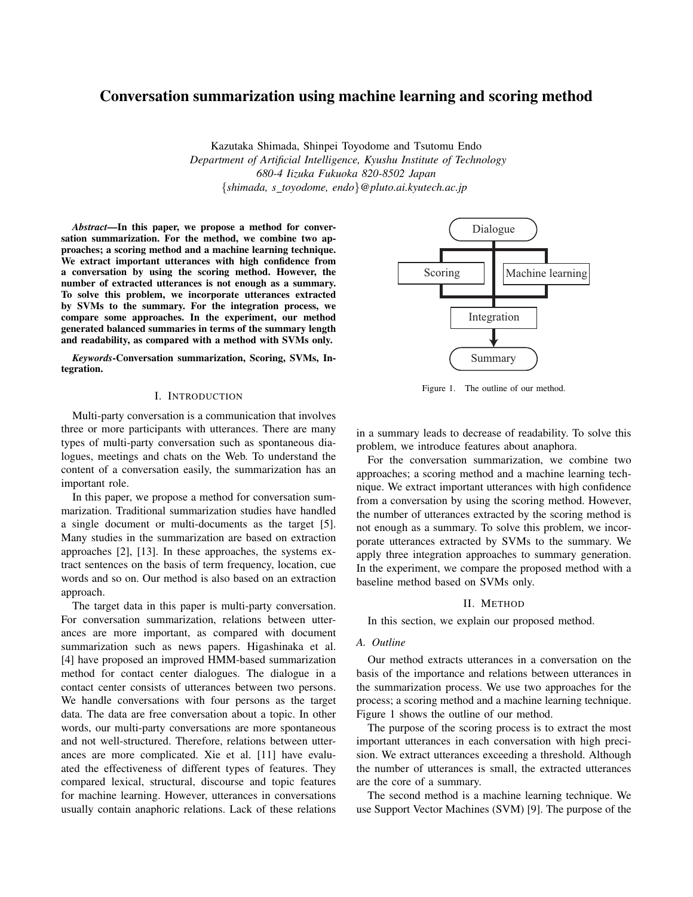# Conversation summarization using machine learning and scoring method

Kazutaka Shimada, Shinpei Toyodome and Tsutomu Endo *Department of Artificial Intelligence, Kyushu Institute of Technology 680-4 Iizuka Fukuoka 820-8502 Japan {shimada, s toyodome, endo}@pluto.ai.kyutech.ac.jp*

*Abstract*—In this paper, we propose a method for conversation summarization. For the method, we combine two approaches; a scoring method and a machine learning technique. We extract important utterances with high confidence from a conversation by using the scoring method. However, the number of extracted utterances is not enough as a summary. To solve this problem, we incorporate utterances extracted by SVMs to the summary. For the integration process, we compare some approaches. In the experiment, our method generated balanced summaries in terms of the summary length and readability, as compared with a method with SVMs only.

*Keywords*-Conversation summarization, Scoring, SVMs, Integration.

#### I. INTRODUCTION

Multi-party conversation is a communication that involves three or more participants with utterances. There are many types of multi-party conversation such as spontaneous dialogues, meetings and chats on the Web. To understand the content of a conversation easily, the summarization has an important role.

In this paper, we propose a method for conversation summarization. Traditional summarization studies have handled a single document or multi-documents as the target [5]. Many studies in the summarization are based on extraction approaches [2], [13]. In these approaches, the systems extract sentences on the basis of term frequency, location, cue words and so on. Our method is also based on an extraction approach.

The target data in this paper is multi-party conversation. For conversation summarization, relations between utterances are more important, as compared with document summarization such as news papers. Higashinaka et al. [4] have proposed an improved HMM-based summarization method for contact center dialogues. The dialogue in a contact center consists of utterances between two persons. We handle conversations with four persons as the target data. The data are free conversation about a topic. In other words, our multi-party conversations are more spontaneous and not well-structured. Therefore, relations between utterances are more complicated. Xie et al. [11] have evaluated the effectiveness of different types of features. They compared lexical, structural, discourse and topic features for machine learning. However, utterances in conversations usually contain anaphoric relations. Lack of these relations



Figure 1. The outline of our method.

in a summary leads to decrease of readability. To solve this problem, we introduce features about anaphora.

For the conversation summarization, we combine two approaches; a scoring method and a machine learning technique. We extract important utterances with high confidence from a conversation by using the scoring method. However, the number of utterances extracted by the scoring method is not enough as a summary. To solve this problem, we incorporate utterances extracted by SVMs to the summary. We apply three integration approaches to summary generation. In the experiment, we compare the proposed method with a baseline method based on SVMs only.

## II. METHOD

In this section, we explain our proposed method.

## *A. Outline*

Our method extracts utterances in a conversation on the basis of the importance and relations between utterances in the summarization process. We use two approaches for the process; a scoring method and a machine learning technique. Figure 1 shows the outline of our method.

The purpose of the scoring process is to extract the most important utterances in each conversation with high precision. We extract utterances exceeding a threshold. Although the number of utterances is small, the extracted utterances are the core of a summary.

The second method is a machine learning technique. We use Support Vector Machines (SVM) [9]. The purpose of the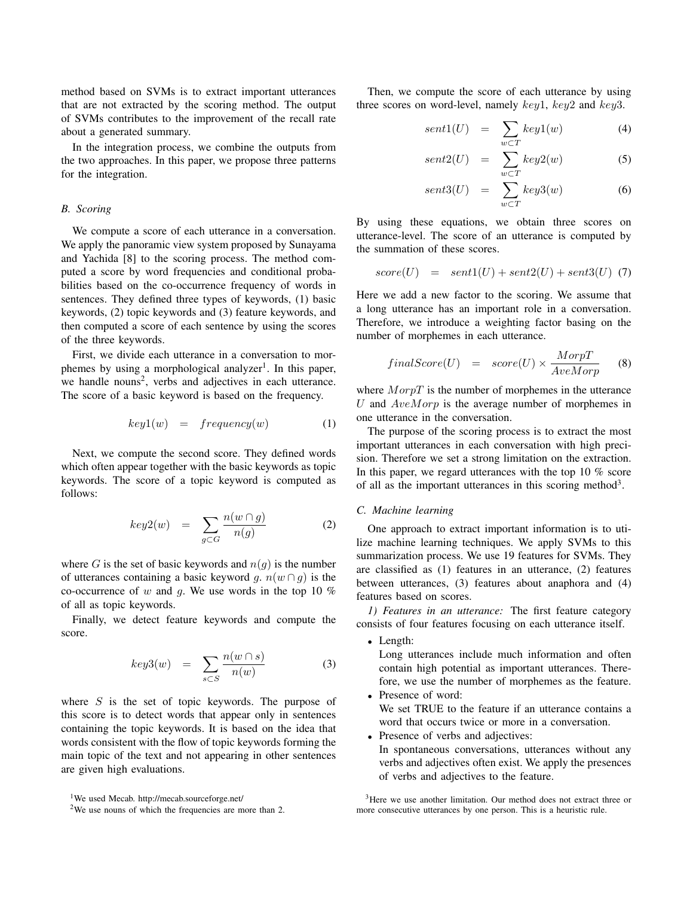method based on SVMs is to extract important utterances that are not extracted by the scoring method. The output of SVMs contributes to the improvement of the recall rate about a generated summary.

In the integration process, we combine the outputs from the two approaches. In this paper, we propose three patterns for the integration.

## *B. Scoring*

We compute a score of each utterance in a conversation. We apply the panoramic view system proposed by Sunayama and Yachida [8] to the scoring process. The method computed a score by word frequencies and conditional probabilities based on the co-occurrence frequency of words in sentences. They defined three types of keywords, (1) basic keywords, (2) topic keywords and (3) feature keywords, and then computed a score of each sentence by using the scores of the three keywords.

First, we divide each utterance in a conversation to morphemes by using a morphological analyzer<sup>1</sup>. In this paper, we handle nouns<sup>2</sup>, verbs and adjectives in each utterance. The score of a basic keyword is based on the frequency.

$$
key1(w) = frequency(w)
$$
 (1)

Next, we compute the second score. They defined words which often appear together with the basic keywords as topic keywords. The score of a topic keyword is computed as follows:

$$
key2(w) = \sum_{g \subset G} \frac{n(w \cap g)}{n(g)} \tag{2}
$$

where *G* is the set of basic keywords and  $n(g)$  is the number of utterances containing a basic keyword *g*.  $n(w \cap g)$  is the co-occurrence of  $w$  and  $g$ . We use words in the top 10  $\%$ of all as topic keywords.

Finally, we detect feature keywords and compute the score.

$$
key3(w) = \sum_{s \subset S} \frac{n(w \cap s)}{n(w)} \tag{3}
$$

where *S* is the set of topic keywords. The purpose of this score is to detect words that appear only in sentences containing the topic keywords. It is based on the idea that words consistent with the flow of topic keywords forming the main topic of the text and not appearing in other sentences are given high evaluations.

Then, we compute the score of each utterance by using three scores on word-level, namely *key*1, *key*2 and *key*3.

$$
sent1(U) = \sum_{w \subset T} key1(w) \tag{4}
$$

$$
sent2(U) = \sum_{w \subset T} key2(w) \tag{5}
$$

$$
sent3(U) = \sum_{w \subset T} key3(w) \tag{6}
$$

By using these equations, we obtain three scores on utterance-level. The score of an utterance is computed by the summation of these scores.

$$
score(U) = sent1(U) + sent2(U) + sent3(U) (7)
$$

Here we add a new factor to the scoring. We assume that a long utterance has an important role in a conversation. Therefore, we introduce a weighting factor basing on the number of morphemes in each utterance.

$$
finalScore(U) = score(U) \times \frac{MorpT}{AveMorp}
$$
 (8)

where *MorpT* is the number of morphemes in the utterance *U* and *AveMorp* is the average number of morphemes in one utterance in the conversation.

The purpose of the scoring process is to extract the most important utterances in each conversation with high precision. Therefore we set a strong limitation on the extraction. In this paper, we regard utterances with the top 10 % score of all as the important utterances in this scoring method<sup>3</sup>.

# *C. Machine learning*

One approach to extract important information is to utilize machine learning techniques. We apply SVMs to this summarization process. We use 19 features for SVMs. They are classified as (1) features in an utterance, (2) features between utterances, (3) features about anaphora and (4) features based on scores.

*1) Features in an utterance:* The first feature category consists of four features focusing on each utterance itself.

*•* Length:

Long utterances include much information and often contain high potential as important utterances. Therefore, we use the number of morphemes as the feature. *•* Presence of word:

- We set TRUE to the feature if an utterance contains a word that occurs twice or more in a conversation.
- Presence of verbs and adjectives:
- In spontaneous conversations, utterances without any verbs and adjectives often exist. We apply the presences of verbs and adjectives to the feature.

<sup>1</sup>We used Mecab. http://mecab.sourceforge.net/

<sup>&</sup>lt;sup>2</sup>We use nouns of which the frequencies are more than 2.

<sup>&</sup>lt;sup>3</sup>Here we use another limitation. Our method does not extract three or more consecutive utterances by one person. This is a heuristic rule.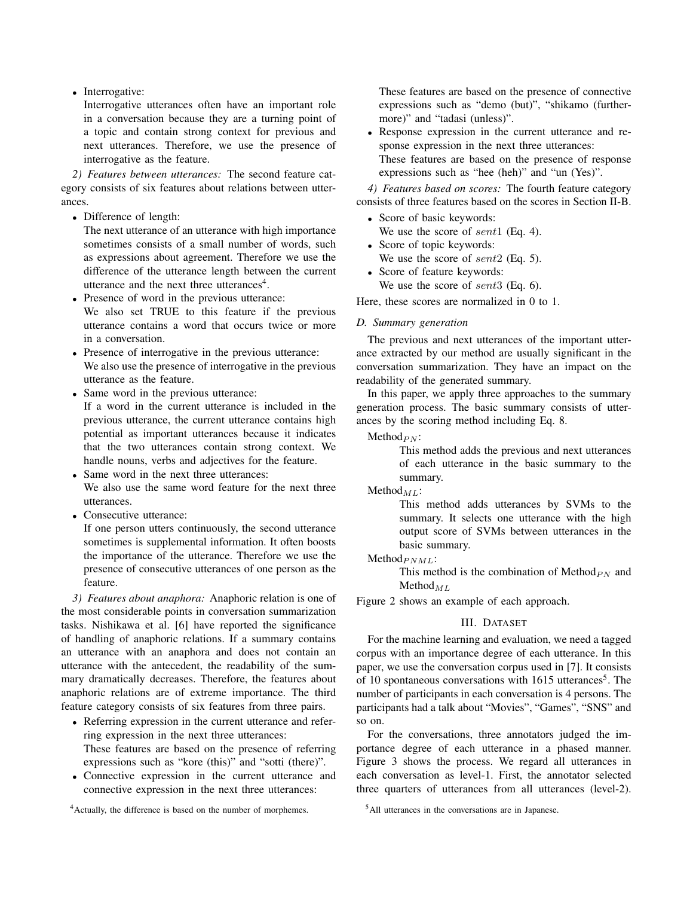• Interrogative:

Interrogative utterances often have an important role in a conversation because they are a turning point of a topic and contain strong context for previous and next utterances. Therefore, we use the presence of interrogative as the feature.

*2) Features between utterances:* The second feature category consists of six features about relations between utterances.

*•* Difference of length:

The next utterance of an utterance with high importance sometimes consists of a small number of words, such as expressions about agreement. Therefore we use the difference of the utterance length between the current utterance and the next three utterances<sup>4</sup>.

- Presence of word in the previous utterance: We also set TRUE to this feature if the previous utterance contains a word that occurs twice or more in a conversation.
- Presence of interrogative in the previous utterance: We also use the presence of interrogative in the previous utterance as the feature.
- *•* Same word in the previous utterance: If a word in the current utterance is included in the previous utterance, the current utterance contains high potential as important utterances because it indicates that the two utterances contain strong context. We handle nouns, verbs and adjectives for the feature.
- *•* Same word in the next three utterances: We also use the same word feature for the next three utterances.
- *•* Consecutive utterance:

If one person utters continuously, the second utterance sometimes is supplemental information. It often boosts the importance of the utterance. Therefore we use the presence of consecutive utterances of one person as the feature.

*3) Features about anaphora:* Anaphoric relation is one of the most considerable points in conversation summarization tasks. Nishikawa et al. [6] have reported the significance of handling of anaphoric relations. If a summary contains an utterance with an anaphora and does not contain an utterance with the antecedent, the readability of the summary dramatically decreases. Therefore, the features about anaphoric relations are of extreme importance. The third feature category consists of six features from three pairs.

- *•* Referring expression in the current utterance and referring expression in the next three utterances: These features are based on the presence of referring expressions such as "kore (this)" and "sotti (there)".
- *•* Connective expression in the current utterance and connective expression in the next three utterances:

<sup>4</sup>Actually, the difference is based on the number of morphemes.

These features are based on the presence of connective expressions such as "demo (but)", "shikamo (furthermore)" and "tadasi (unless)".

Response expression in the current utterance and response expression in the next three utterances: These features are based on the presence of response expressions such as "hee (heh)" and "un (Yes)".

*4) Features based on scores:* The fourth feature category consists of three features based on the scores in Section II-B.

- *•* Score of basic keywords: We use the score of *sent*1 (Eq. 4).
- *•* Score of topic keywords: We use the score of *sent*2 (Eq. 5).

*•* Score of feature keywords: We use the score of *sent*3 (Eq. 6).

Here, these scores are normalized in 0 to 1.

# *D. Summary generation*

The previous and next utterances of the important utterance extracted by our method are usually significant in the conversation summarization. They have an impact on the readability of the generated summary.

In this paper, we apply three approaches to the summary generation process. The basic summary consists of utterances by the scoring method including Eq. 8.

Method*P N* :

This method adds the previous and next utterances of each utterance in the basic summary to the summary.

Method<sub>*ML*</sub>:

This method adds utterances by SVMs to the summary. It selects one utterance with the high output score of SVMs between utterances in the basic summary.

Method<sub>*PNML*:</sub>

This method is the combination of Method $_{PN}$  and Method*ML*

Figure 2 shows an example of each approach.

## III. DATASET

For the machine learning and evaluation, we need a tagged corpus with an importance degree of each utterance. In this paper, we use the conversation corpus used in [7]. It consists of 10 spontaneous conversations with 1615 utterances<sup>5</sup>. The number of participants in each conversation is 4 persons. The participants had a talk about "Movies", "Games", "SNS" and so on.

For the conversations, three annotators judged the importance degree of each utterance in a phased manner. Figure 3 shows the process. We regard all utterances in each conversation as level-1. First, the annotator selected three quarters of utterances from all utterances (level-2).

<sup>5</sup>All utterances in the conversations are in Japanese.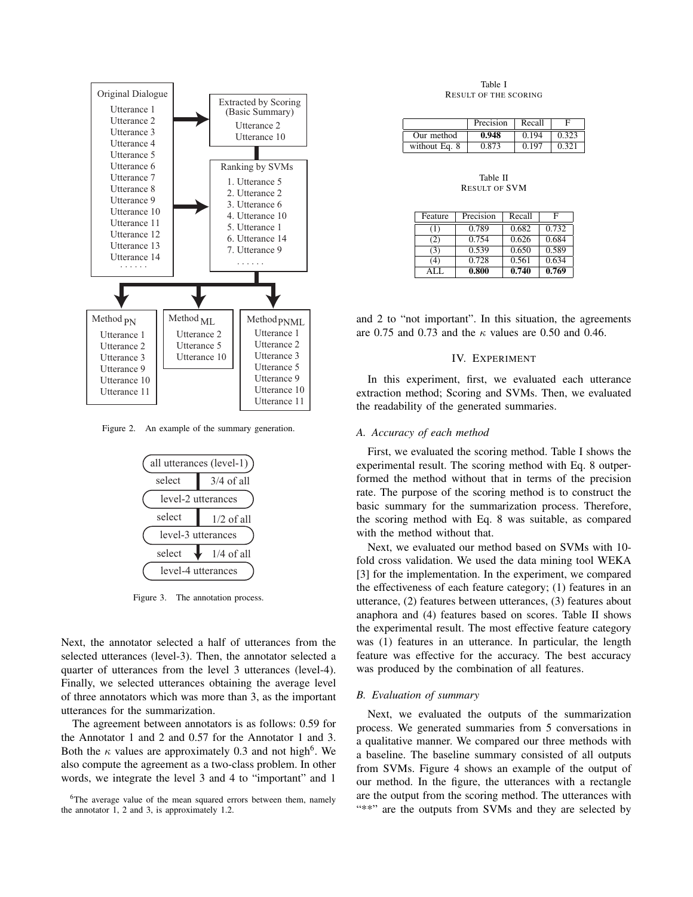

Figure 2. An example of the summary generation.



Figure 3. The annotation process.

Next, the annotator selected a half of utterances from the selected utterances (level-3). Then, the annotator selected a quarter of utterances from the level 3 utterances (level-4). Finally, we selected utterances obtaining the average level of three annotators which was more than 3, as the important utterances for the summarization.

The agreement between annotators is as follows: 0.59 for the Annotator 1 and 2 and 0.57 for the Annotator 1 and 3. Both the  $\kappa$  values are approximately 0.3 and not high<sup>6</sup>. We also compute the agreement as a two-class problem. In other words, we integrate the level 3 and 4 to "important" and 1

Table I RESULT OF THE SCORING

|               | Precision | Recall |       |
|---------------|-----------|--------|-------|
| Our method    | 0.948     | 0.194  | 0.323 |
| without Eq. 8 | 0.873     | 0.197  | 0.321 |

Table II RESULT OF SVM

| Feature | Precision | Recall | F     |
|---------|-----------|--------|-------|
| (1)     | 0.789     | 0.682  | 0.732 |
| (2)     | 0.754     | 0.626  | 0.684 |
| (3)     | 0.539     | 0.650  | 0.589 |
| (4)     | 0.728     | 0.561  | 0.634 |
| AL I    | 0.800     | 0.740  | 0.769 |

and 2 to "not important". In this situation, the agreements are 0.75 and 0.73 and the *κ* values are 0.50 and 0.46.

## IV. EXPERIMENT

In this experiment, first, we evaluated each utterance extraction method; Scoring and SVMs. Then, we evaluated the readability of the generated summaries.

#### *A. Accuracy of each method*

First, we evaluated the scoring method. Table I shows the experimental result. The scoring method with Eq. 8 outperformed the method without that in terms of the precision rate. The purpose of the scoring method is to construct the basic summary for the summarization process. Therefore, the scoring method with Eq. 8 was suitable, as compared with the method without that.

Next, we evaluated our method based on SVMs with 10 fold cross validation. We used the data mining tool WEKA [3] for the implementation. In the experiment, we compared the effectiveness of each feature category; (1) features in an utterance, (2) features between utterances, (3) features about anaphora and (4) features based on scores. Table II shows the experimental result. The most effective feature category was (1) features in an utterance. In particular, the length feature was effective for the accuracy. The best accuracy was produced by the combination of all features.

#### *B. Evaluation of summary*

Next, we evaluated the outputs of the summarization process. We generated summaries from 5 conversations in a qualitative manner. We compared our three methods with a baseline. The baseline summary consisted of all outputs from SVMs. Figure 4 shows an example of the output of our method. In the figure, the utterances with a rectangle are the output from the scoring method. The utterances with "\*\*" are the outputs from SVMs and they are selected by

<sup>&</sup>lt;sup>6</sup>The average value of the mean squared errors between them, namely the annotator 1, 2 and 3, is approximately 1.2.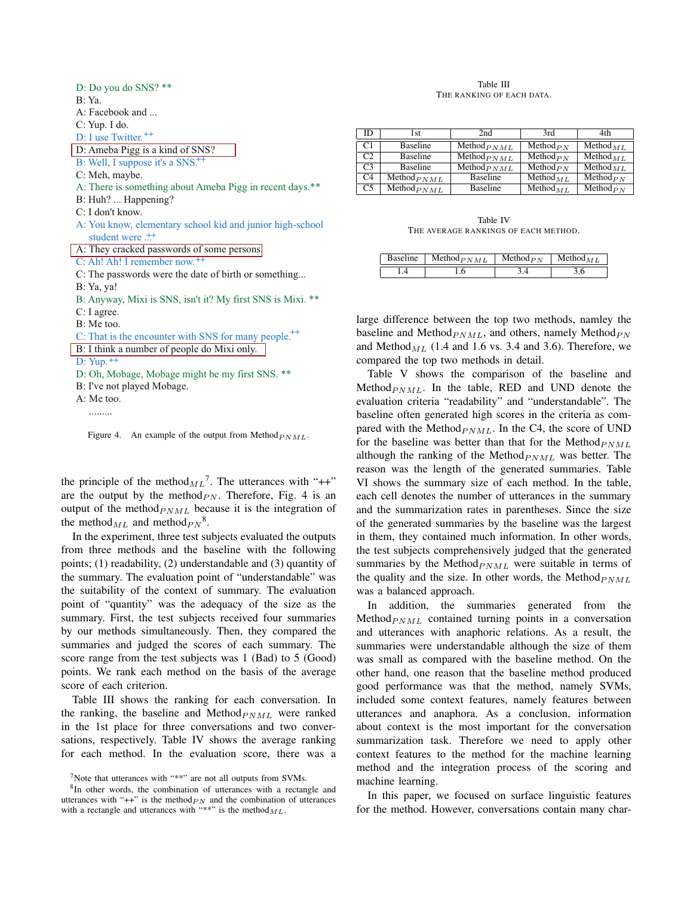| D: Do you do SNS? **                                             |
|------------------------------------------------------------------|
| B: Ya.                                                           |
| A: Facebook and                                                  |
| C: Yup. I do.                                                    |
| D: I use Twitter. <sup>++</sup>                                  |
| D: Ameba Pigg is a kind of SNS?                                  |
| B: Well, I suppose it's a SNS. <sup>++</sup>                     |
| C: Meh, maybe.                                                   |
| A: There is something about Ameba Pigg in recent days.**         |
| B: Huh?  Happening?                                              |
| C: I don't know.                                                 |
| A: You know, elementary school kid and junior high-school        |
| student were . <sup>++</sup>                                     |
| A: They cracked passwords of some persons.                       |
| C: Ah! Ah! I remember now. <sup>++</sup>                         |
| C: The passwords were the date of birth or something             |
| B: Ya, ya!                                                       |
| B: Anyway, Mixi is SNS, isn't it? My first SNS is Mixi. **       |
| $C: I$ agree.                                                    |
| B: Me too.                                                       |
| C: That is the encounter with SNS for many people. <sup>++</sup> |
| B: I think a number of people do Mixi only.                      |
| $D: Yup.++$                                                      |
| D: Oh, Mobage, Mobage might be my first SNS. **                  |
| B: I've not played Mobage.                                       |
| $A:$ Me too.                                                     |
|                                                                  |

Figure 4. An example of the output from Method $P NML$ .

the principle of the method<sub>ML</sub><sup>7</sup>. The utterances with "++" are the output by the method $P_N$ . Therefore, Fig. 4 is an output of the method<sub>PNML</sub> because it is the integration of the method<sub>*ML*</sub> and method<sub>*PN*</sub><sup>8</sup>.

In the experiment, three test subjects evaluated the outputs from three methods and the baseline with the following points; (1) readability, (2) understandable and (3) quantity of the summary. The evaluation point of "understandable" was the suitability of the context of summary. The evaluation point of "quantity" was the adequacy of the size as the summary. First, the test subjects received four summaries by our methods simultaneously. Then, they compared the summaries and judged the scores of each summary. The score range from the test subjects was 1 (Bad) to 5 (Good) points. We rank each method on the basis of the average score of each criterion.

Table III shows the ranking for each conversation. In the ranking, the baseline and Method $_{PNML}$  were ranked in the 1st place for three conversations and two conversations, respectively. Table IV shows the average ranking for each method. In the evaluation score, there was a

Table III THE RANKING OF EACH DATA.

| ID               | 1st                               | 2nd                               | 3rd                             | 4th                             |
|------------------|-----------------------------------|-----------------------------------|---------------------------------|---------------------------------|
| $\mathsf{C}1$    | <b>Baseline</b>                   | $\overline{\text{Method}}_{PNML}$ | Method <sub><i>PN</i></sub>     | Method $_{ML}$                  |
| C2               | <b>Baseline</b>                   | $\overline{\text{Method}_{PNML}}$ | Method <sub><i>PN</i></sub>     | $\overline{\text{Method}}_{ML}$ |
| $\overline{C}$ 3 | <b>Baseline</b>                   | $\overline{\text{Method}_{PMML}}$ | $\overline{\text{Method}}_{PN}$ | $\overline{\text{Method}}_{ML}$ |
| C <sub>4</sub>   | $\overline{\text{Method}_{PNML}}$ | <b>Baseline</b>                   | $\overline{\text{Method}}_{ML}$ | $\overline{\text{Method}_{PN}}$ |
| C <sub>5</sub>   | $\overline{\text{Method}}_{PNML}$ | <b>Baseline</b>                   | $\overline{\text{Method}}_{ML}$ | $\overline{\text{Method}}_{PN}$ |

Table IV THE AVERAGE RANKINGS OF EACH METHOD.

| Baseline | $Method_{PNML}$ | $Method_{PN}$ Method <sub>ML</sub> |     |
|----------|-----------------|------------------------------------|-----|
|          |                 |                                    | 3.6 |

large difference between the top two methods, namley the baseline and Method<sub>*PNML*</sub>, and others, namely Method<sub>*PN*</sub></sub> and Method<sub>*ML*</sub> (1.4 and 1.6 vs. 3.4 and 3.6). Therefore, we compared the top two methods in detail.

Table V shows the comparison of the baseline and Method $_{PNML}$ . In the table, RED and UND denote the evaluation criteria "readability" and "understandable". The baseline often generated high scores in the criteria as compared with the Method<sub>*PNML*</sub>. In the C4, the score of UND for the baseline was better than that for the Method<sub>*PNML*</sub> although the ranking of the Method*P NML* was better. The reason was the length of the generated summaries. Table VI shows the summary size of each method. In the table, each cell denotes the number of utterances in the summary and the summarization rates in parentheses. Since the size of the generated summaries by the baseline was the largest in them, they contained much information. In other words, the test subjects comprehensively judged that the generated summaries by the Method $_{PNML}$  were suitable in terms of the quality and the size. In other words, the Method $_{PNML}$ was a balanced approach.

In addition, the summaries generated from the Method<sub>PNML</sub> contained turning points in a conversation and utterances with anaphoric relations. As a result, the summaries were understandable although the size of them was small as compared with the baseline method. On the other hand, one reason that the baseline method produced good performance was that the method, namely SVMs, included some context features, namely features between utterances and anaphora. As a conclusion, information about context is the most important for the conversation summarization task. Therefore we need to apply other context features to the method for the machine learning method and the integration process of the scoring and machine learning.

In this paper, we focused on surface linguistic features for the method. However, conversations contain many char-

<sup>&</sup>lt;sup>7</sup>Note that utterances with "\*\*" are not all outputs from SVMs.

<sup>&</sup>lt;sup>8</sup>In other words, the combination of utterances with a rectangle and utterances with " $++$ " is the method<sub>*PN*</sub> and the combination of utterances with a rectangle and utterances with "\*\*" is the method<sub>ML</sub>.